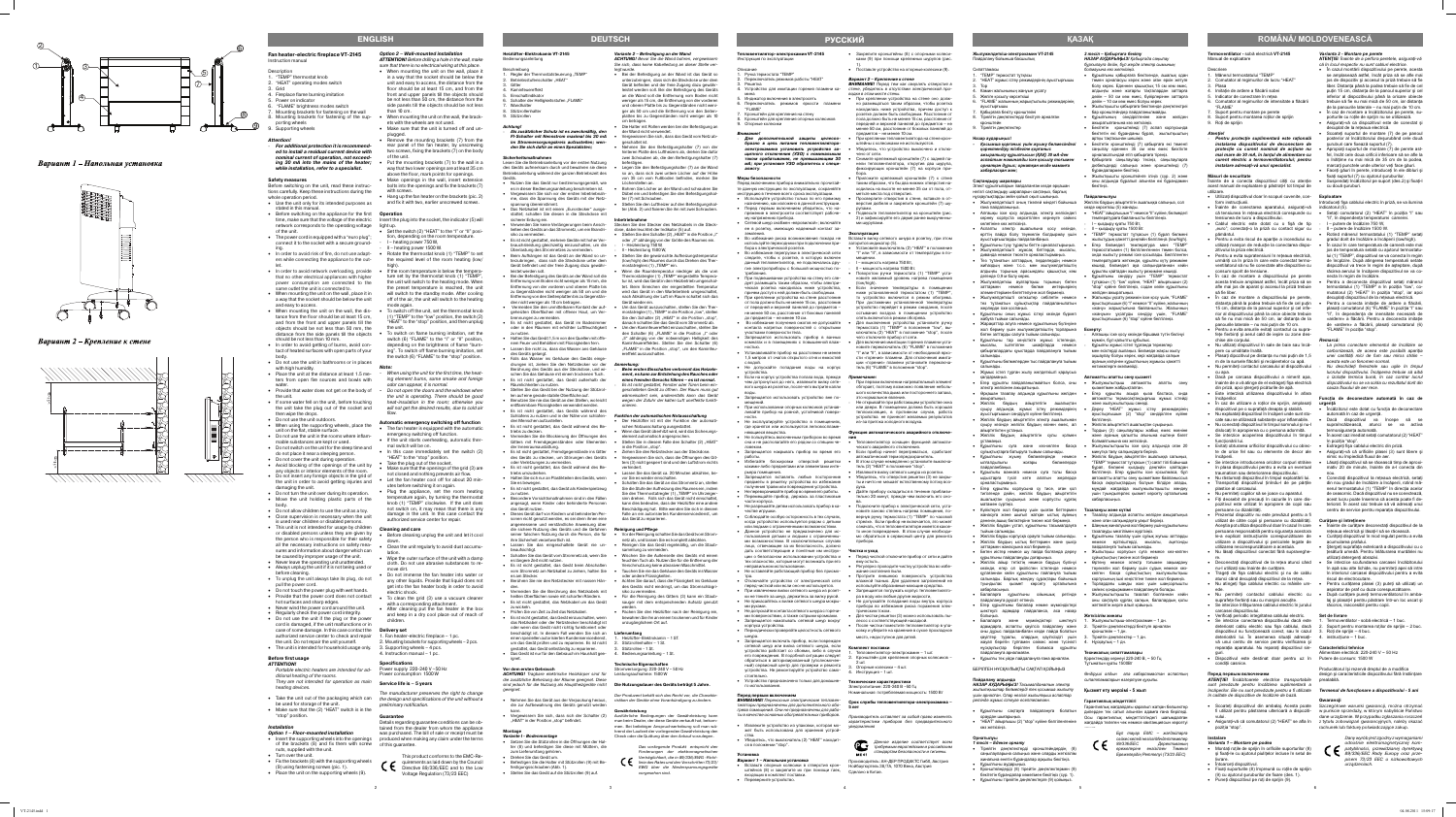#### **Termoventilator -** sobă electrică **VT-2145** Manual de exploatare

- **escriere** 1. Mânerul termostatului "TEMP"
- 2. Comutator al regimurilor de lucru "HEAT"
- 3. Plasa Imitatie de ardere a flăcării sobei
- 5. Indicator de conectrare în reţea
- . Comutator al regimurilor de intensitate a flăcării "FLAME"
- Suport pentru montare pe perete
- 8. Suport pentru montarea rotilor de sprijin 9. Roţi de sprijin

### *Atenţie!*

- *Pentru protecţie suplimentară este raţională instalarea dispozitivului de deconectare de protecţie cu curent nominal de acţiune nu mai mare de 30 mA, în lanţul de alimentare cu curent electric a termoventilatorului; pentru instalare adresaţi-vă unui specialist.*

#### **Măsuri de securitate**

- Înainte de a conecta dispozitivul citiți cu atenție acest manual de exploatare şi păstraţi-l tot timpul de utilizare.
- Utilizati dispozitivul doar în scopuri cuvenite, conform instrucţiunii.
- Înainte de conectarea aparatului, asiguraţi-vă indicatorul (5). că tensiunea în reteaua electrică corespunde cu · ensiunea de lucru a dispozitivului
- Cablul electric este dotat cu o fișă de tip "euro"; conectați-o la priză cu contact sigur cu pământul.
- Pentru a evita riscul de apariţie a incendiului nu utilizati manson de reductie la conectarea dispozitivului la priza electrică.
- Pentru a evita supratensiuni în reţeaua electrică, urmăriti ca în priza în care este conectat termoventilatorul să nu fie conectate alte dispozitive cu consum sporit de tensiune.
- În caz de montare a dispozitivului pe perete acesta trebuie amplasat astfel, încât priza să se afle mai jos de aparat și accesul la priză trebuie să fie liber.
- În caz de montare a dispozitivului pe perete distanța până la podea trebuie să fie de cel puțin 15 cm, distanta de la panoul superior și cel inferior al dispozitivului până la orice obiecte trebuie să fie nu mai mică de 50 cm, iar distanța de la panourile laterale – nu mai putin de 10 cm.
- Pentru a evita arsurile evitati contactul cu suprafețe fierbinți și aerul cald de ieșire cu zone deschise ale corpului.
- Nu utilizaţi dispozitivul în sale de baie sau încăpere cu umiditate înaltă. Plasați dipozitivul pe distanța nu mai putin de 1.5
- m de la sursele flăcării și recipientelor cu apă. • Nu permiteţi contactul carcasului al dispozitivului
- cu apa. • Dacă pe carcasa dispozitivului a nimerit apa, înainte de a vă atinge de el extrageți fişa electrică din priză, apoi ștergeți picăturile de apă.
- Este interzisă utilizarea dispozitivului în afara încăperilor.
- În caz de utilizare a roţilor de sprijin, amplasaţi **urgenţă** dispozitivul pe o suprafaţă dreapta şi stabilă. • Nu exploataţi dispozitivul în încăperi unde sunt sto-
- cate sau se utilizează substante ușor inflamabile. • Nu conectaţi dispozitivul în timpul somnului şi nu-l
- dislocaţi în apropierea cu o persona adormită. • Se interzice acoperirea dispozitivului în timpul
- unctionării lui • Evitați obturarea orificiilor dispozitivului cu obiec- • Extrageți fișa cablului electric din priză. te de orice fel sau cu elemente de decor ale
- încăperii. • Se interzice introducerea oricăror corpuri străine în plasa dispozitivului pentru a evita un eventual traumatism sau deteriorarea dispozitivului.
- Nu răsturnaţi dispozitivul în timpul exploatării lui. Transportati dispozitivul tinîndu-l de pe părtile plastice al carcasului.
- Nu permiteţi copiilor să se joace cu aparatul. Fiţi deosebit de precauţi în cazurile în care dispozitivul este utilizat în apropiere de copii sau
- persoane cu dizabilităţi. • Prezentul dispozitiv nu este prevăzut pentru a fi
- utilizat de către copii şi persoane cu dizabilităţi. Aceștia pot utiliza dispozitivul doar în cazul în care · Înainte de curățare deconectați dispozitivul de la persoana responsabilă pentru siguranta acestora le-a explicat instructiunile corespunzătoare de utilizare a dispozitivului şi pericolele legate de utilizarea necorespunzătoare a acestuia. • Nu lăsaţi dispozitivul conectat fără supraveghe-
- re. Deconectaţi dispozitivul de la reţea atunci când
- $I$ -l utilizati sau înainte de curătare. Trageți de fișa cablului electric și nu de cablu
- atunci când decuplati dispozitivul de la retea. Nu atingeți fișa cablului electric cu mâinile um-
- ede. Nu permiteţi contactul cablului electric cu suprafete fierbinti sau cu margini ascutite • Se interzice înfăşurarea cablului electric în jurului
- carcasei dispozitivului. Verificati periodic integritatea cablului electric.
- Se interzice conectarea dispozitivului dacă este deteriorat cablu electric sau fișa cablului, dacă dispozitivul nu funcționează corect, sau în cazul 3. Roți de sprijin – 4 buc. deteriorării lui. În asemenea situaţii adresaţi-4. instrucţiune – 1 buc. vă unui centru de service pentru verificarea și reparatia aparatului. Nu reparati dispozitivul sin-
- guri. Dispozitivul este destinat doar pentru uz în conditii casnice.

- Scoateţi dispozitivul din ambalaj. Acesta poate Szczegółowe warunki gwarancji, można otrzymać
- vului. • Asigurați-vă că comutatorul (2) "HEAT" se afla în z tytułu zobowiązań gwarancyjnych, należy okazać pozitia "stop".

- Montați roțile de sprijin în orificiile suporturilor (8) şi fixați-le cu ajutorul piulițelor incluse în setul de
- livrare. • Întoarceti dispozitivul
- Fixati suporturile (8) împreună cu rotile de sprijin
- (9) cu ajutorul şuruburilor de fixare (des. 1). • Puneţi dispozitivul pe roţi de sprijin (9).

#### **Перед первым включением**

*ATENŢIE! Încălzitoarele electrice transportabile sunt prevăzute pentru încălzirea suplimentară a încăperilor. Ele nu sunt prevăzute pentru a fi utilizate Termenul de funcţionare a dispozitivului - 5 ani în calitate de dispozitive de încălzire de bază.*

- reteaua electrică și lăsati-l să se răcească. Curățați dispozitivul în mod regulat pentru a evita acumularea prafului.
- Stergeti suprafata exterioară a dispozitivului cu o ţesătură umedă. Pentru înlăturarea murdăriei nu
- utilizaţi detergenţi abrazivi. Se interzice scufundarea carcasei încălzitorului în apă sau alte lichide, nu permiteti apei să intre în interiorul carcasei dispozitivului pentru a evita riscul de electrocutare.
- Pentru curătarea plasei (3) puteti să utilizati ur aspirator de praf cu duza corespunzătoare. După curătare puneți termovențilatorul în amb
- laj și plasati-l pentru păstrare într-un loc uscat și răcoros, inaccesibil pentru copii.

- 1. Termoventilator sobă electrică 1 buc. 2. Suport pentru montarea rotilor de sprijin – 2 buc.
- 
- 

#### **Instalare**

#### *Varianta 1 – Montare pe podea*

Producătorul își rezervă dreptul de a modifica design și caracteristicile dispozitivului fără înstiintare prealabilă.

**Жылужелдеткіш-электрокамин VT-2145** Іайдалану бойынша басшылық

### *Varianta 2 - Montare pe perete*

**ATENŢIE**! *Înainte de a perfora peretele, asiguraţi-vă că în locul respectiv nu sunt cabluri electrice.*

- În cazul montării dispozitivului pe perete, acesta se amplasează astfel, încât priza să se afle ma jos de dispozitiv și accesul la priză trebuie să fie liber. Distanta până la podea trebuie să fie de ce puțin 15 cm, distanța de la panoul superior și ce inferior al dispozitivului până la oricare obiecte trebuie să fie nu mai mică de 50 cm, iar distanta de la panourile laterale – nu mai puţin de 10 cm. • În caz de montare a încălzitorului pe perete, su-
- porturile cu roţile de sprijin nu se utilizează.
- Asiguraţi-vă ca dispozitivul este de conectat şi decuplat de la reteaua electrică Scoateți suportul de montare (7) de pe panou
- posterior al încălzitorului deşurubând cele două suruburi care fivează suportul (7). •<br>Apropiati suportul de montare (7) de perete as
- fel, încât cele doua orificii inferioare să se afle la o înălțime nu mai mică de 35 cm de la podea marcati punctele unde ulterior veti face găuri. Faceți găuri în perete, introduceți în ele dibluri ș
- fixați suportul (7) cu ajutorul şuruburilor. Suspendati încălzitorul pe suport (des.2) și fixaticu două şuruburi.

### **Exploatare**

- Introduceți fișa cablului electric în priză, se va ilumina Setați comutatorul (2) "HEAT" în pozitia "I" sau
- "II", în dependenţa temperaturei camerei. I – putere de încălzire 750 W.
- II putere de încălzire 1500 W.
- Rotind mânerul termostatului (1) "TEMP" setat gradul dorit de încălzire a încăperii (low/high).
- În cazul în care temperatura de cameră este ma jos de temperatura setată cu ajutorul termostatului (1) "TEMP", dispozitivul se va conecta în regim de încplzire. După atingerea temperaturii setate dispozitivul va trece în regim de așteptare, după răcirea aerului în încăpere dispozitivul se va conecta în regim de încălzire.
- Pentru a deconecta dispozitivul setați mâneru termostatului (1) "TEMP" в în poziția "low", comutatorul (2) "HEAT" în poziţia "stop", iar apoi decuplati dispozitivul de la reteaua electrică
- Pentru a conecta imitație de ardere a flăcării, plasaţi comutatorul (6) "FLAME" în poziţia "I" sau II", în dependenta de inensitate necesară de «ardere» a flăcării. Pentru a deconecta imitație de «ardere» a flăcării, plasați comutatorul (6) FLAME" în pozitia "stop".

## fi utilizat pentru păstrarea ulterioară a dispoziti-w punkcie sprzedaży, w którym nabyliście Państwo **Gwarancji**  dane urządzenie. W przypadku zgłaszania roszczeń

#### *Remarcă:*

- *La prima conectare elementul de încălzire se carbonizează, de aceea este posibilă apariţia unei cantităţi mici de fum sau miros străin – acesta este un fenomen normal.*
- *Nu deschideţi ferestrele sau uşile în timpul lucrului dispozitivului. Încăperea trebuie să aibă o izolaţie termica bună, în caz contrar lucrul dispozitivului nu se va solda cu rezultatul dorit din cauza fl uxului de aer rece.*

# Funcția de deconectare automată în caz d

- Încălzitorul este dotat cu functia de deconectare automată în caz de urgenţă. Dacă dispozitivul va începe să
- supraîncălzească, atunci se va activa ermosiguranta automată.
- În acest caz imediat setati comutatorul (2) "HEAT în pozitia "stop".
- Asigurati-vă că orificiile plasei (3) sunt libere ș
- nimic nu împiedică fluxul de aer Lăsați dispozitivul să se răcească timp de aproxi mativ 20 de minute, înainte de a-l conecta din
- nou. Conectaţi dispozitivul la reţeaua electrică, setaţi din nou gradul de încălzire a încăperii, rotind mânerul termostatului (1) "TEMP" în directia acelo de ceasornic. Dacă dispozitivul nu se conectează acest lucru poate însemna că acesta poate fi deteriorat. În acest caz trebuie să vă adresati unu entru de service pentru reparația dispozitivulu

• Жылытқышты кронштейнге ілініз (сур. 2) және оны алдында бұралып алынған екі бұрандамен

мүмкін, бұл қалыпты құбылыс. - Құрылғы жұмыс істеп тұрғанда терезелер мен есіктерді ашпаңыз. Бөлмеде жақсы жылу оқшаулау болуы керек, кері жағдайда салқын ауаның келуінен құрылғының жұмысы қажетт

ижелерге <mark>әкелмейд</mark>і **Автоматты апатты сөну қызметі**

> Дереу "HEAT" жұмыс істеу режимдеріні ауыстырғышын (2) "stop" сөндірілген күйіне

#### **Curăţare şi întreţinere**

#### **Set de livrare**

#### **Caracteristici tehnice**

Alimentare electrică: 220-240 V ~ 50 Hz Putere de consum: 1500 W

rachunek lub fakturę poświadczające zakup.



# **ROMÂNĂ/ MOLDOVENEASCĂ**

Сипаттамасы

1. "TEMP" термостат тұтқасы

2. "HEAT" жұмыс істеу режимдерінің ауыстырғышы

3. Тор

4. Камин жалынының жануын ұқсату 5. Желіге қосылу көрсеткіші

6. "FLAME" жалынның жарықтылығы режимдерінің

ауыстырғышы

апрещается использовать прибор в ванных комнатах и в помещениях с повышенной влаж-

7. Қабырғаға бекіту кронштейні 8. Тірейтін дөңгелектерді бекітуге арналған

кронштейн 9. Тірейтін дөңгелектер **Назар аударыңыз!**

*- Қосымша қорғаныс үшін жуыну бөлмесіндегі* 

*қоректендіру тізбегіне қорғаныс ажыратылу құрылғысын (ҚАҚ) 30 мА-ден аспайтын номиналды іске қосылу тоғымен орнатқан дұрыс; орнатқан кезде маманға хабарласқан жөн;*

#### **Сақтандыру шаралары**

Элект құрылғыларын пайдаланған кезде əрқашан негізгі сақтандыру шараларын сақтаңыз, барлық

- нұсқаулықтарды зейін қойып оқып шығыңыз. • Жылужелдеткішті оның тікелей міндеті бойынша ғана пайдаланыңыз.
- Алғашқы іске қосу алдында, электр желісіндегі кернеу корпуста көрсетілген кернеуге сəйкес келетініне көз жеткізіңіз.
- Аспапты электр ашалығына қосу кезінде, өрттің пайда болу тəуекелін болдырмау үшін ауыстырғыштарды пайдаланбаңыз.
- Құрылғыны түзу тұрақты бетте орналастырыңыз. • Жылужелдеткішті жұмсақ беттерде, мысалы, диванда немесе төсекте орналастырмаңыз.
- Тез тұтанатын заттардың, перделердің немесе жиһаздың жəне т.с.с. мен жылужелдеткіштің алдыңғы торының арасындағы қашықтық кем дегенде 0,9 м болу керек.
- Жылужелдеткіш ауатартқыш торының бөтен заттармен немесе бөлме интерьерінің элементтерімен бөгеттелуіне жол бермеңіз.
- Жылужелдеткішті сепкіштер себілетін немесе тез тұтанатын сұйықтықтар пайдаланылатын жерлерде іске қоспаңыз.
- Құрылғыны оның жұмыс істеуі кезінде бүркеп жабуға тыйым салынады. • Жарақаттар алуға немесе құрылғының бүлінуіне
- жол бермеу үшін жылужелдеткіштің торларына бөтен заттарды салуға тыйым салынады.
- Құрылғыны тар кеңістікте жұмыс істегенде, мысалы, іштетілген шкафтарда немесе қабырғалардағы қуыстарда пайдалануға тыйым салынады.
- Құрылғыны бөлмелерден тыс пайдалануға тыйым салынады. • Жұмыс істеп тұрған жылу желдеткішті қараусыз

**ВНИМАНИЕ!** Переносные электрические тепловентиляторы предназначены для дополнительного обогрева помещений. Они не предназначены для работы в качестве основных обогревательных приборов. • Извлеките устройство из упаковки, которая может быть использована для хранения устройства. • Убедитесь, что выключатель (2) "HEAT" находитқалдармаңыз. • Егер құрылғы пайдаланылмайтын болса, оны

электр желісінен ажыратыңыз.

• Əрқашан тазалау алдында құрылғыны желіден

ажыратыңыз.

• Желілік баудың айыртетігін ашалықтан суыру алдында, жұмыс істеу режимдерінің ауыстырғышын сөндірулі күйіне белгілеңіз. • Желілік баудың айыртетігін электр ашалығынан суыру кезінде желілік баудың өзінен емес, ал

айыртетіктен ұстаңыз.

• Желілік баудың айыртетігін сулы қолмен

ұстамаңыз.

• Құрылғыны суға жəне кез-келген басқа сұйықтықтарға батыруға тыйым салынады. • Құрылғыны жуыну бөлмелерінде немесе ылғалдылығы жоғары бөлмелерде

пайдаланбаңыз.

• Құрылығы ваннаға немесе суға толы басқа ыдыстарға түсіп кете алатын жерлерде

орналастырмаңыз.

• Егер құрылғы корпусына су тисе, оған қол тигізгенде дейін, желілік баудың айыртетігін ашалықтан суырыңыз жəне корпусты құрғақ

матамен сүртіңіз.

• Күйіктерге жол бермеу үшін қызған беттермен

дененің ашық бөліктеріне тиюне жол бермеңіз. • Желілік баудан ұстап, құрылғыны тасымалдауға

тыйым салынады.

• Желілік бауды корпусқа орауға тыйым салынады. • Желілік баудың ыстық беттермен жəне үшкір заттармен жанасуына жол бермеңіз. • Бөтен иістер немесе шу пайда болғанда дереу ылғыны пайдалануды доғарыңыз. • Желілік айыр тетіктің немесе баудың бүлінуі кезінде, егер ол іркіліспен істегенде немесе құлағаннан кейін құрылғыны пайлануға тыйым салынады. Барлық жөндеу сұрақтары бойынша туындылас қызмет көрсету орталығына

хабарласыңыз. Балаларға құрыл пайдалануға рұқсат етпеңіз.

• Егер құрылғыны балалар немее мүмкіндіктері шектеулі адамдар пайдаланса, аса назар

болыңыз.

• Балаларға жəне мүмкіндіктері шектеулі адамдарға, аспапты қауіпсіз пайдалану жəне оны дұрыс пайдаланбаған кезде пайда болатын қауіптер туралы, олардың қауіпсіздігі үшін жауап беретін тұлғамен сəйкес жəне түсінікті нұсқаулықтар берілген болмаса құрылғы

пайдалануға арналмаған.

• Құрылғы тек үйде пайдалануға ғана арналған. БЕРІЛГЕН НҰСҚАУЛЫҚТЫ САҚТАП ҚОЙЫҢЫЗ

**Пайдалану алдында**

*НАЗАР АУДАРЫҢЫЗ! Тасымалданатын электр жылытқыштар бөлмелерді тек қосымша жылыту үшін арналған. Олар негізгі жылытқыш аспаптар ретінде жұмыс істеуге есептелмеген.*

### Производитель оставляет за собой право изменят характеристики приборов без предварительного

Данное изделие соответствует всем требуемым европейским и российским стандартам безопасности и гигиены. **ME 61** 

• Құрылғыны сақтауға пайдалануға болатын

ораудан шығарыңыз.

Beschreibung Regler der Thermostatsteuerung "TEMP" Betriebsstufenschalter "HEAT

Schalter der Helligkeitsstufen "FLAME"

• "HEAT" айырғышы (2) "stop" күйіне белгіленгеніне

көз жеткізіңіз.

**Орнатылуы**

*1 тəсіл – Еденге орнату*

Wandhalter **Stützrollenhalte** 9. Stützrollen

> • Тірейтін дөңгелектерді кронштейндердің (8) саңылауларына салыңыз жəне оларды жеткізілім жинағына енетін бұрандалар арқылы бекітіңіз.

• Құрылғыны аударыңыз.

• Кронштейндерді (8) тірейтін дөңгелектермен (9) бекітетін бұрандалар көмегімен бекітіңіз (сур. 1). • Құрылғыны тірейтін дөңгелектерге (9) қойыңыз.

*2 тəсіл – Қабырғаға бекіту*

#### stattet; schalten Sie diesen in die Steckdose mit ter (Abb. 2) und fixieren Sie ihn mit zwei Schrauben. **Inbetriebnahm**

*НАЗАР АУДАРЫҢЫЗ! Қабырғада саңылау бұрғылауға дейін, бұл жерде электр сымының* 

*болмауына көз жеткізіңіз.* 

• Құрылғыны қабырғаға бекіткенде, ашалық одан төмен орналасуы керек жəне оған еркін жетуге болу керек. Еденнен қашықтық 15 см кем емес, алдыңғы жəне жоғарғы тақталардан заттарға дейін – 50 см кем емес, бүйірлерінен заттарға

дейін – 10 см кем емес болуы керек. • Жылытқышты қабырғаға бекіткенде дөңгелектреі бар кронштейндер пайдаланылмайды. • Құрылғының сөндірілгеніне жəне желіден

ажыратылғанына көз жеткізіңіз.

• Бекітетін кронштейнді (7) аспап корпусында бекітетін екі бұранданы бұрап, жылытқыштың

nem Feuer und Behältern mit Flüssigkeiten fer • Lassen Sie nicht zu, dass das Wasser ans Gehäuse артқы тақтасынан шешіңіз.

жанасуға жəне шығып жатқан ыстық ауаның • Тазалау алдында аспапты желіден ажыратыңыз

• Stellen Sie das Gerät bei der Nutzung der Stützrollen auf eine gerade stabile Oberfläche auf.

• Бекітетін кронштейнді (7) қабырғаға екі төменгі саңылау еденнен 35 см кем емес биіктікте орналасатындай етіп қабырғаға тіреңіз. • Қабырғаға саңылаулар тесіңіз, саңылауларға дюбельдерді салыңыз жəне кронштейнді (7)

entflammbare Flüssigkeiten verwendet werden. • Es ist nicht gestattet, das Geräts während des бұрандалармен бекітіңіз.

бекітіңіз. **Пайдаланылуы**

Желілік баудың айыртетігін ашалыққа салыңыз, сол

кезде көрсеткіш (5) жанады.

• "HEAT" айырғышын "I" немесе "II" күйіне, бөлмедегі температураға байланысты белгілеңіз. – кыздыру куаты 750 Вт. - II – қыздыру қуаты 1500 Вт.

• Dieses Gerät darf von Kindern und behinderten Personen nicht genutzt werden, es sei denn ihnen eine angemessene und verständliche Anweisung über

• "TEMP" термостат тұтқасын (1) бұрап бөлмені жылытудың қажетті деңгейін белгілеңіз (low/high). • Егер бөлмедегі температура мəні "TEMP" термостатымен (1) белгіленгеннен төмен болса, онда жылыту режимі іске қосылады. Белгіленген температураға жеткенде, құрылғы күту режиміне көшеді, бөлмедегі ауа салқындағаннан кейін құрылғы қайтадан жылыту режиміне көшеді. • Құрылғыны сөндіру үшін "TEMP" термостат тұтқасын (1) "low" күйіне, "HEAT" айырғышын (2) "stop" күйіне белгілеңіз, содан кейін құрылғыны

желіден ажыратыңыз.

• Жалынды ұқсату режимін іске қосу үшін, "FLAME" ауыстырғышын (6) "I" немесе "II" күйіне, жалынның «жану» жарықтығына байланысты. Жалынның «жануын» ұқсатуды сөндіру үшін, "FLAME" ауыстырғышын (6) "stop" күйіне белгілеңіз.

**Ескерту:**

- Алғашқы іске қосу кезінде біршама түтін бөлінуі

**ACHTUNG!** Bevor Sie die Wand bohren, vergev Sie sich, dass keine Kabelleitung an dieser Stelle ver-

• Жылужылытқыш автоматты апатты сөну

қызметімен жабдықталған.

• Егер құрылғы асыра қыза бастаса, онда автоматты термосақтандырғыш жұмыс істейді

жəне жылужылытқыш сөнеді.

олмайтынына көз жеткізіңіз

белгілеңіз.

• Желілік айыртетікті ашалықтан суырыңыз. Тордың (3) саңылаулары жабық емес екенін жəне ауаның қалыпты ағынына ештеңе бөгет

• Жылужылытқышты іске қосу алдында оған 20

минутқа таяу салқындауға беріңіз.

• Желілік баудың айыртетігін ашалыққа салыңыз, "TEMP" термостат тұтқасын (1) сағат тілі бойынша бұрап, бөлмені қыздыру деңгейін қайтадан белгілеңіз. Егер құрылғы іске қосылмаса, бұл автоматты апатты сөну қызметімен байланыссь басқа ақаулықтардың болуын білдіре алады, мұндай жағдайда жылужылытқышты жөндеу үшін туындыгерлес қызмет көрсету орталығына

хабарласыңыз. **Тазалануы жəне күтімі** 

> жəне оған салқындауға уақыт беріңіз. • Шаңның жиналуына жол бермеу үшін құрылығыны

тазалауды мезгілімен жүргізіңіз.

• Құрылғыны тазалау үшін сұйық жуғыш заттарды немесе еріткіштерді, мысалы, ацетонды

пайдалануға тыйым салынады.

• Жылытқыш корпусын суға немесе кез-келген

сұйықтықтың тиюіне жол бермеңіз

• Өртену немесе электр тоғымен зақымдану тəуекелін жол бермеу үшін судың немесе кезкелген басқа сұйықтықтың жылужылытқыш корпусының ішкі кеңістігіне тиюне жол бермеңіз. • Торлардағы шаңды жою үшін шаңсорғышты сəйкес қондырмамен пайдалануға болады. Жылужылытқышты тазалап болғаннан кей оны сақтауға құрғақ салқын, балалардың қолы

жетпейтін жерге алып қойыңыз.

**Жеткізілім жинағы**

1. Жылужылытқыш-электрокамин – 1 дн. 2. Тірейтін дөңгелектерді бекітуге арналған

кронштейн – 1 дн. 3. Тірейтін дөңгелектер – 1 дн. 4. Нұсқаулық – 1 дн. **Техникалық сипаттамалары** Қоректендіру кернеуі 220-240 В, ~ 50 Гц Тұтынатын қуаты 1500Вт

- Der Heizlüfter ist mit der Funktion der automatischen Notausschaltung ausgestattet. • Wenn das Gerät überhitzt wird, wird das Sicherungs-
- Gitters mit Fremdgegenständen oder Elementen ment automatisch angesproch Stellen Sie in diesem Falle den Schalter (2) "HEAT"
- Es ist nicht gestattet, Fremdgegenstände ins Gitter des Geräts zu stecken, um Störungen des Geräts in die Position "stop". • Ziehen Sie den Netzstecker aus der Steckdose. • Vergewissern Sie sich, dass die Öffnungen des Git-
- Es ist nicht gestattet, das Gerät während des Be-• Halten Sie sich nur an Plastikteilen des Geräts, wenn ters (3) nicht gesperrt sind und den Luftstrom nichts verhindert. • Lassen Sie das Gerät ca. 20 Minuten abkühlen, be
	- vor Sie es wieder einschalten. • Schalten Sie das Gerät an das Stromnetz an, stellen Sie die Stufe der Aufheizung des Raumes ein, indem Sie den Thermostatregler (1) "TEMP" im Uhrzeigersinn drehen. Falls sich das Gerät nicht einschaltet, kann dies bedeuten, dass der Heizlüfter eine andere Beschädigung hat. Bitte wenden Sie sich in diesem Falle an ein autorisiertes Kundenservicedienst, um das Gerät zu reparieren.

### die sichere Nutzung des Geräts und die Gefahren **Reinigung und Pflege**

*Өндіруші алдын ала хабарламастан аспаптың* 

*сипаттамаларын өзгертуге құқылы.*

**Қызмет ету мерзімі - 5 жыл Гарантиялық мiндеттiлiгi**

Гарантиялық жағдайдағы қаралып жатқан бөлшектер дилерден тек сатып алынған адамға ғана берiледi. Осы гарантиялық мiндеттiлiгiндегi шағымдалған жағдайда төлеген чек немесе квитанциясын көрсетуi

> *Бұл тауар ЕМС – жағдайларға сəйкес келедi негiзгi Мiндеттемелер 89/336/EEC Дерективаның ережелерiне енгiзiлген Төменгi Ережелердiң Реттелуi (73/23 EEC)*

**ҚАЗАҚ**

5

**Тепловентилятор-электрокамин VT-2145**

Инструкция по эксплуатации

Описание

Решетка

1. Ручка термостата "TEMP"

2. Переключатель режимов работы "HEAT"

4. Устройство для имитации горения пламени ка-

мина 5. Индикатор включения в электросеть

6. Переключатель режимов яркости пламени

- Description
- "TEMP" thermostat knob "HEAT" operating modes switch
- Grid
- 4. Fireplace flame burning imitation 5. Power on indicator
- . "FLAME" brightness modes switch
- 7. Mounting brackets for fastening on the wall Mounting brackets for fastening of the sup-
- porting wheels
- Supporting wheels

"FLAME"

7. Кронштейн для крепления на стену 8. Кронштейн для крепления опорных колесиков

9. Опорные колесики

*Внимание!* - *Для дополнительной защиты целесообразно в цепь питания тепловентилятораэлектрокамина установить устройство защитного отключения (УЗО) с номинальным током срабатывания, не превышающим 30 мА; при установке УЗО обратитесь к специ-*

Before switching on the unit, read these instructions carefully. Keep these instructions during the whole operation period.

*алисту*. **Меры безопасности**

Перед включением прибора внимательно прочитайте данную инструкцию по эксплуатации, сохраняйте инструкцию в течение всего срока эксплуатации. • Используйте устройство только по его прямому назначению, как изложено в данной инструкции. • Перед первым включением убедитесь, что напряжение в электросети соответствует рабоче-

му напряжению прибора.

• Сетевой шнур снабжен «евровилкой»; включайте ее в розетку, имеющую надежный контакт за-

используйте переходники при подключении при-бора к электрической розетке. • Во избежание перегрузки в электрической сети следите, чтобы к розетке, в которую включен данный тепловентилятор, не подключались другие электроприборы с большой мощностью по-

требления.

• При подвешивании устройства на стену его следует размещать таким образом, чтобы электрическая розетка находилась ниже устройства, причем доступ к ней должен быть свободным. • При креплении устройства на стене расстояние от пола должно быть не менее 15 см, расстояние от передней и верхней панелей до предметов – не менее 50 см, расстояние от боковых панелей

до предметов – не менее 10 см.

• Во избежание получения ожогов не допускайте контакта нагретых поверхностей с открытыми

участками поверхности тела.

ностью.

• Устанавливайте прибор на расстоянии не менее 1,5 метров от очагов открытого огня и емкостей

с водой.

• Не допускайте попадания воды на корпус

устройства.

• Если на корпус устройства попала вода, прежде чем дотронуться до него, извлеките вилку сетевого шнура из розетки, после чего вытрите капли воды. • Запрещается использовать устройство вне по-

мещений.

• При использовании опорных колесиков устанавливайте прибор на ровной, устойчивой поверх-

ности.

• Не эксплуатируйте устройство в помещениях, где хранятся или используются легковоспламе-

няющиеся вещества.

• Не пользуйтесь включенным прибором во время

ловеком.

работы.

какими-либо предметами или элементами инте-

рьера помещения.

предметы в решетку устройства во избежание получения травм или повреждения устройства. • Не переворачивайте прибор во время его работы. • Перемещайте прибор, держась за пластиковые

части корпуса.

• Не разрешайте детям использовать прибор в ка-

честве игрушки.

• Соблюдайте особую осторожность в тех случаях, **или устройство используется рядом с детьми** или людьми с ограниченными возможностями. • Данное устройство не предназначено для использования детьми и людьми с ограниченными возможностями. В исключительных случаях лицо, отвечающее за их безопасность, должно дать соответствующие и понятные им инструк-

тех опасностях, которые могут возникать при его

неправильном использовании.

- 
- Set the switch (2) "HEAT" to the "I" or "II" position, depending on the room temperature.
- I heating power 750 W.
- heating power 1500 W. • Rotate the thermostat knob (1) "TEMP" to set the required level of the room heating (low/ high).
- ture set by the thermostat knob (1) "TEMP" the unit will switch to the heating mode. When the preset temperature is reached, the unit will switch to the standby mode. After cooling off of the air, the unit will switch to the heating mode agair
- (1) "TEMP" to the "low" position, the switch (2) "HEAT" to the "stop" position, and then unplug the unit.
- To switch on flame burning imitation, set the switch (6) "FLAME" to the "I" or "II" position, depending on the brightness of flame "burning". To switch off flame burning imitation, set the switch (6) "FLAME" to the "stop" position.

• Не оставляйте работающий прибор без присмо-

тра.

### земления. • Во избежание риска возникновения пожара не **Эксплуатация**

перед чисткой или если оно не используется.

ки не тяните за шнур, держитесь за вилку рукой.

ми руками.

• Не допускайте контакта сетевого шнура с горячими поверхностями, а также острыми кромками. • Запрещается наматывать сетевой шнур вокруг

корпуса устройства.

• Периодически проверяйте целостность сетевого

шнура.

• Запрещается включать прибор, если поврежден

устройство работает со сбоями, либо в случае

обратиться в авторизированный (уполномочен-

устройства. Не ремонтируйте устройство само-

стоятельно.

• Устройство предназначено только для домашне-

го использования. **Перед первым включением**

Details regarding guarantee conditions can be obtained from the dealer from whom the appliance was purchased. The bill of sale or receipt must be produced when making any claim under the terms

ся в положении "stop".

**Установка**

*Вариант 1 – Напольная установка*

• Вставьте опорные колесики в отверстия крон-

входящих в комплект поставки. • Переверните устройство.

- сна и не располагайте его рядом со спящим че-• Тепловентилятор оснащен функцией автомати-• Запрещается накрывать прибор во время его • Если прибор начнет перегреваться, сработает ческого аварийного отключения.
- Избегайте блокировки отверстий решетки В этом случае немедленно установите выключаавтоматический термопредохранитель.
- Запрещается вставлять любые посторонние тель (2) "HEAT" в положение "stop". • Извлеките вилку сетевого шнура из розетки. • Убедитесь, что отверстия решетки (3) не закры
	- ты и ничто не мешает естественному потоку воздуха. • Дайте прибору охладиться в течение приблизи-
	- тельно 20 минут, прежде чем включить его сно-
	- ва. Подключите прибор к электрической сети, установите заново степень нагрева помещения, повернув ручку термостата (1) "TEMP" по часовой стрелке. Если прибор не включается, это может означать, что в тепловентиляторе имеется какоето иное повреждение. В этом случае необходимо обратиться в сервисный центр для ремонта прибора.
- Закрепите кронштейны (8) с опорными колесиками (9) при помощи крепежных шурупов (рис.
- 1). Поставьте устройство на опорные колесики (9).
- *Вариант 2 Крепление к стене* **ВНИМАНИЕ!** Перед тем как сверлить отверстия в стене, убедитесь в отсутствии электрической проводки в этом месте стены.
- При креплении устройства на стене оно должно размещаться таким образом, чтобы розетка находилась ниже устройства, причем доступ к розетке должен быть свободным. Расстояние от пола должно быть не менее 15 см, расстояние от передней и верхней панелей до предметов – не менее 50 см, расстояние от боковых панелей до предметов – не менее 10 см.
- При креплении тепловентилятора на стене кронштейны с колесиками не используются. • Убедитесь, что устройство выключено и отклю-
- чено от сети. • Снимите крепежный кронштейн (7) с задней панели тепловентилятора, открутив два шурупа, фиксирующих кронштейн (7) на корпусе при-
- бора. Приложите крепежный кронштейн (7) к стене таким образом, что бы два нижних отверстия находились на высоте не менее 35 см от пола, от-
- метьте места под отверстия. • Просверлите отверстия в стене, вставьте в отверстия дюбеля и закрепите кронштейн (7) шу-
- рупами. • Подвесьте тепловентилятор на кронштейн (рис. 2) и зафиксируйте его двумя ранее выкрученными шурупами.

- ции о безопасном использовании устройства и • Перед чисткой отключите прибор от сети и дайте ему остыть.
- Отключайте устройство от электрической сети • Регулярно проводите чистку устройства во избежание скопления пыли. • Протрите внешнюю поверхность устройства
- При извлечении вилки сетевого шнура из розет- Запрещается погружать корпус тепловентилятовлажной тканью. Для удаления загрязнений не используйте абразивные моющие средства.
- Не прикасайтесь к вилке сетевого шнура мокры- Не допускайте попадания воды внутрь корпуса ра в волу или любые лругие жилко прибора во избежание риска поражения электрическим током.
	- Для чистки решетки (3) можно использовать пылесос с соответствующей насадкой. • После чистки поместите тепловентилятор в упа-
	- ковку и уберите на хранение в сухое прохладное место, недоступное для детей.

#### сетевой шнур или вилка сетевого шнура, если **Комплект поставки** 1. Тепловентилятор-электрокамин – 1 шт.

- его повреждения. В подобной ситуации следует 2. Кронштейн для крепления опорных колесиков – 2 шт.
- ный) сервисный центр для проверки и ремонта 3. Опорные колесики – 4 шт. 4. Инструкция – 1 шт.
- Вставьте вилку сетевого шнура в розетку, при этом загорится индикатор (5). • Установите выключатель (2) "HEAT" в положение "I" или "II", в зависимости от температуры в по-
- мещении.
- I мощность нагрева 750 Вт. II – мощность нагрева 1500 В
- Поворотом ручки термостата (1) "TEMP" установите желаемый уровень нагрева помещения (low/high).
- Если значение температуры в помещении ниже установленной термостатом (1) "TEMP", то устройство включится в режим обогрева. При достижении установленной температуры устройство перейдет в режим ожидания, после остывания воздуха в помещении устройство тять включится в режим обогрева.
- Для выключения устройства установите ручку термостата (1) "TEMP" в положение "low", выключатель (2) "HEAT" в положение "stop", после чего отключите прибор от сети.
- Для включения имитации горения пламени установите переключатель (6) "FLAME" в положение "I" или "II", в зависимости от необходимой яркости «горения» пламени. Для отключения имитаии «горения» пламени установите переключатель (6) "FLAME" в положение "stop".

#### *Примечание:*

#### штейнов (8) и закрепите их при помощи гаек, Сделано в Китае. Производитель: АН-ДЕР ПРОДАКТС ГмбХ, Австрия Нойбаугюртель 38/7А, 1070 Вена, Австрия

- При первом включении нагревательный элемент обгорает, поэтому возможно появление небольшого количества дыма или постороннего запаха, это нормальное явление.
- Не открывайте при работающем устройстве окна или двери. В помещении должна быть хорошая теплоизоляция, в противном случае, работа устройства не принесет желаемых результатов из-за притока холодного воздуха.

#### **Функция автоматического аварийного отключения**

#### **Чистка и уход**

## **Технические характеристики**

Электропитание: 220-240 В ~50 Гц Номинальная потребляемая мощность: 1500 Вт

# Срок службы тепловентилятора-электр

**5 лет**

уведомления

### **РУССКИЙ**

4

#### **Heizlüfter-Elektrokamin VT-2145** Bedienungsanleitung

*im Stromversorgungskreis aufzustellen; wenden Sie sich dafür an einen Spezialisten;*

Gitter 4. Kaminfeuereffekt **Einschaltindikator** 

**Sicherheitsmaßnahmen**

sicherer Erdung ein.

siko zu vermeiden.

Überlastung des Stromnetzes zu vermeiden.

leistet werden soll.

den nicht weniger als 10 cm betragen.

zu nutzen.

des Geräts gelangt.

• Falls das Wasser ins Gehäuse des Geräts einge-

schen Sie das Gehäuse mit einem trockenen Tuch. • Es ist nicht gestattet, das Gerät außerhalb der

Räumlichkeiten zu nutzen.

n Menschen aufzusteller

• Es ist nicht gestattet, das Gerät während des Be-

triebs zu decken.

• Vermeiden Sie die Blockierung der Öffnungen des

der Innenraumaustattung.

oder Verletzungen zu vermeide

triebs umzudrehen.

Sie es bewegen

• Es ist nicht gestattet, das Gerät als Kinderspielzeug

zu nutzen.

• Besondere Vorsichtsmaßnahmen sind in den Fällen angesagt, wenn Kinder oder behinderte Personen

das Gerät nutzen.

ihre Sicherheit verantwortlich ist.

• Lassen Sie das eingeschaltete Gerät nie un-

beaufsichtigt.

es längere Zeit nicht nutzen.

• Es ist nicht gestattet, das Gerät beim Abschalten

heißen Oberflächen sowie mit scharfen Rändern.

#### • Verwenden Sie keine Verlängerungen beim Ansch-Stecken Sie den Stecker des Netzkabels in die Steck-

es am Stecker.

den.

zu wickeln.

• Prüfen Sie von Zeit zu Zeit das Netzkabel. • Es ist nicht gestattet, das Gerät einzuschalten, wenn das Netzkabel oder der Netzstecker beschädigt ist oder wenn das Gerät nicht richtig funktioniert oder

ungen zu vermeiden

gestattet, das Gerät selbständig zu reparieren.

ignet.

**Vor dem ersten Gebrauch** 

- ließen des Geräts an das Stromnetz, um ein Brandri-Es ist nicht gestattet, mehrere Geräte mit hoher Ver brauchsleistung gleichzeitig einzuschalten, um die dose, dabei leuchtet der Indikator (5) auf. • Stellen Sie den Schalter (2) "HEAT" in die Position "I" oder "II" abhängig von der Größe des Raumes ein.
	- I Heizleistung 750 W, - II - Heizleistung 1500 W,
- Beim Aufhängen ist das Gerät an die Wand so unterzubringen, dass sich die Steckdose unter dem Gerät befindet und der freie Zugang dazu gewähr-• Stellen Sie die gewünschte Aufheizungstemperatur (low/high) des Raumes durch das Drehen des Thertreglers (1) "TEMP" ein. • Wenn die Raumtemperatur niedriger als die vom
- Bei der Befestigung des Geräts an der Wand soll die Entfernung vom Boden nicht weniger als 15 mm, die Entfernung von der vorderen und oberen Platte bis u Gegenständen nicht weniger als 50 cm und die Entfernung von den Seitenplatten bis zu Gegenstän-Thermostatregler (1) "TEMP" eingestellte Temperatur ist, wird das Gerät in den Heizbetrieb umgeschaltet. Beim Erreichen der eingestellten Temperatur wird das Gerät in den Wartebetrieb umgeschaltet, nach Abkühlung der Luft im Raum schaltet sich das Gerät wieder ein.
- Vermeiden Sie den unmittelbaren Kontakt der aufgeheizten Oberflächen mit offener Haut, um Ver-• Es ist nicht gestattet, das Gerät im Badezimmer oder in den Räumen mit erhöhter Luftfeuchtigkeit • Halten Sie das Gerät 1,5 m von den Quellen mit offe-• Um das Gerät auszuschalten, stellen Sie den Thermostatregler (1) "TEMP" in die Position "low", stellen Sie den Schalter (2) "HEAT" in die Position "stop" danach schalten Sie das Gerät vom Stromnetz ab. • Um den Kaminfeuereffekt einzuschalten, stellen Sie den Schalter (6) "FLAME" in die Position "I" oder "II" abhängig von der notwendigen Helligkeit des
- drungen ist, ziehen Sie den Netzstecker vor der *Anmerkung:*  effektes. Stellen Sie den Schalter (6) "FLAME" in die Position "stop", um den Kaminfeuereffekt auszuschalten.
- Berührung des Geräts aus der Steckdose, und wi-• Benutzen Sie nie das Gerät an den Stellen, wo leicht - *Beim ersten Einschalten verbrennt das Heizelement, es kann zur Entstehung des Rauches oder eines fremden Geruchs führen – es ist normal.* Es ist nicht gestattet, Fenster oder Türen beim ei geschalteten Gerät zu öffnen. Der Raum muss gut wärmeisoliert sein, anderenfalls kann das Gerät wegen der Zufuhr der kalten Luft uneffektiv funktionieren.

die zusätzliche Beheizung der Räume geeignet. Diese

**Montage<br>***Variante I - Bodenmontage***<br>• S**etzen Sie die Stützrollen in die Öffnungen der Hal-

geeignet.

zum Lieferumfang gehören. • Drehen Sie das Gerät um.



festigungsschrauben (Abb. 1).

• Stellen Sie das Gerät auf die Stützrollen (9) auf.

"HEAT" in der Position "stop" befindet.

# *Variante 2 – Befestigung an der Wand*

#### Schlafens zu nutzen und in der Nähe von schlafen-*Funktion der automatischen Notausschaltung*

- legt wurde. • Bei der Befestigung an der Wand ist das Gerät so unterzubringen, dass sich die Steckdose unter dem Gerät befinden und der freie Zugang dazu gewährleistet werden soll. Bei der Befestigung des Geräts an die Wand soll die Entfernung vom Boden nicht weniger als 15 cm, die Entfernung von der vorderen und oberen Platte bis zu Gegenständen nicht weniger als 50 cm und die Entfernung von den Seitenplatten bis zu Gegenständen nicht weniger als 10 cm betragen.
- *Achtung! Als zusätzlicher Schutz ist es zweckmäßig, den FI-Schalter mit Nennstrom maximal bis 30 mA*  • Die Halter mit Rollen werden bei der Befestigung an der Wand nicht verwendet. • Vergewissern Sie sich, dass das Gerät vom Netz ab-
- Lesen Sie die Betriebsanleitung vor der ersten Nutzung geschaltet ist. • Nehmen Sie den Befestigungshalter (7) von der hinteren Platte des Luftheizers ab, drehen Sie dafü zwei Schrauben ab, die den Befestigungshalter (7) befestigen.
- des Geräts aufmerksam durch und bewahren sie diese Betriebsanleitung während der ganzen Betriebszeit des Geräts. • Nutzen Sie das Gerät nur bestimmungsgemäß, wie es in dieser Bedienungsanleitung beschrieben ist. • Legen Sie den Befestigungshalter (7) an die Wand so an, dass sich zwei untere Löcher auf der Höhe von 35 cm vom Fußboden befinden, merken Sie Löcherstellen an.
- Vergewissern Sie sich vor der ersten Inbetriebnahme, dass die Spannung des Geräts mit der Netzspannung übereinstimmt. • Das Netzkabel ist mit einem "Eurostecker" ausge-• Bohren Sie Löcher an der Wand und schrauben Sie Dübel ein und befestigen Sie den Befestigungshalter (7) mit Schrauben. • Stellen Sie den Luftheizer auf den Befestigungshal-

- seiner falschen Nutzung durch die Person, die für Vor der Reinigung schalten Sie das Gerät vom Stromnetz ab, und lassen Sie es komplett abkühlen. • Reinigen Sie das Gerät regelmäßig, um die Staub-
- Schalten Sie das Gerät vom Stromnetz ab, wenn Sie sammlung zu vermeiden. • Wischen Sie die Außenseite des Geräts mit einem
- vom Stromnetz am Netzkabel zu ziehen, halten Sie feuchten Tuch ab. Nutzen Sie für die Entfernung der Verschmutzung keine abrasiven Waschmittel. • Tauchen Sie nie das Gehäuse des Geräts ins Wasser
- Berühren Sie nie den Netzstecker mit nassen Hän-• Achten Sie darauf, dass die Flüssigkeit ins Gehäuse oder andere Flüssigkeite
- Vermeiden Sie die Berührung des Netzkabels mit des Geräts nicht eindringt, um das Stromschlagrisiko zu vermeiden. • Für die Reinigung des Gitters (3) kann ein Staub-
- Es ist nicht gestattet, das Netzkabel um das Gerät sauger mit dem entsprechenden Aufsatz genutzt werden. • Packen Sie den Heizlüfter nach der Reinigung ein,
	- bewahren Sie ihn an einem trockenen und für Kinder unzugänglichem Ort auf.
- beschädigt ist. In diesem Fall wenden Sie sich an **Lieferumfang** 1. Heizlüfter-Elektrokamin – 1 ST.
- einen speziellen autorisierten Kundenservicedienst, um das Gerät prüfen und zu reparieren. Es ist nicht 2. Stützrollenhalter – 1 St.
- Das Gerät ist nur für den Gebrauch im Haushalt gee-3. Stützrollen - 1 St. 4. Bedienungsanleitung – 1 St.

#### *ACHTUNG!* Tragbare elektrische Heizkörper sind für **Technische Eigenschaften** Stromversorgung: 220-240 V ~ 50 Hz

### sind jedoch für die Nutzung als Hauptheizgeräte nicht **Die Nutzungsdauer des Geräts beträgt 5 Jahre.** Leistungsaufnahme: 1500 W

#### • Nehmen Sie das Gerät aus der Verpackung heraus, Der Produzent behält sich das Recht vor, die Charakteristiken der Geräte ohne Vorankündigung zu ändern.

#### die zur Aufbewahrung des Geräts genutzt werden kann. • Vergewissern Sie sich, dass sich der Schalter (2) **Gewährleistung**

Ausführliche Bedingungen der Gewährleistung kann man beim Dealer, der diese Geräte verkauft hat, bekommen. Bei beliebiger Anspruchserhebung soll man während der Laufzeit der vorliegenden Gewährleistung den Check oder die Quittung über den Ankauf vorzulegen.

> Das vorliegende Produkt entspricht den Forderungen der elektromagnetischen Verträglichkeit, die in 89/336/EWG -Richtlinie des Rates und den Vorschriften 73/23/ EWG über die Niederspannungsgeräte vorgesehen sind.

### **DEUTSCH**

3

### **Fan heater-electric fireplace VT-2145** Instruction manual

### *Attention!*

- *For additional protection it is recommended to install a residual current device with nominal current of operation, not exceeding 30 mA into the mains of the heater; while installation, refer to a specialist.*

### **Safety measures**

- Use the unit only for its intended purposes as stated in this manual.
- Before switching on the appliance for the first time, make sure that the voltage of the electric Insert the plug into the socket, the indicator (5) will network corresponds to the operating voltage light up. of the unit.
- The power cord is equipped with a "euro plug" connect it to the socket with a secure grounding.
- In order to avoid risk of fire, do not use adapters while connecting the appliance to the outlet.
- In order to avoid network overloading, provide If the room temperature is below the temperathat no other electrical appliances with higher power consumption are connected to the
- same outlet the unit is connected to. • When mounting the unit on the wall, place it in a way that the socket should be below the unit
- and easy to access. • When mounting the unit on the wall, the dis- • To switch off the unit, set the thermostat knob tance from the floor should be at least 15 cm,
- and from the front and upper panels till the objects should be not less than 50 mm, the distance from the side panels till the objects should be not less than 10 mm.
- In order to avoid getting of burns, avoid contact of heated surfaces with open parts of your body.
- Do not use the unit in bathrooms or in places with high humidity.
- Place the unit at the distance at least 1.5 meters from open fire sources and bowls with water.
- Provide that water does not get on the body of the unit.
- If some water fell on the unit, before touching the unit take the plug out of the socket and then wipe the drops.
- Do not use the unit outdoors. • When using the supporting wheels, place the unit on the flat, stable surface.
- Do not use the unit in the rooms where inflammable substances are kept or used.
- Do not switch on the unit for the sleep time and do not place it near a sleeping person. • Do not cover the unit during operation.
- Avoid blocking of the openings of the unit by any objects or interior elements of the room.
- Do not insert any foreign objects in the grid of the unit in order to avoid getting injuries and damaging the unit.
- Do not turn the unit over during its operation. • Move the unit holding plastic parts of the body.
- Do not allow children to use the unit as a toy. • Close supervision is necessary when the unit is used near children or disabled persons.
- This unit is not intended for usage by children or disabled persons unless they are given by the person who is responsible for their safety all the necessary instructions on safety measures and information about danger which can
- be caused by improper usage of the unit. Never leave the operating unit unattender • Always unplug the unit if it is not being used or
- before cleaning • To unplug the unit always take its plug, do not
- pull the power cord. • Do not touch the power plug with wet hands.
- hot surfaces and sharp edges. • Never wind the power cord around the unit.
- Regularly check the power cord integrity. • Do not use the unit if the plug or the power cord is damaged, if the unit malfunctions or in
- case of some damage. In this case contact the **Delivery set** authorized service center to check and repair 1. Fan heater-electric fireplace – 1 pc. the unit. Do not repair the unit yourself. • The unit is intended for household usage only.

#### **Before first usage** *ATTENTION!*

Portable electric heaters are intended for additional heating of the rooms. They are not intended for operation as main heating devices.

- Take the unit out of the packaging which can
- be used for storage of the unit. • Make sure that the (2) "HEAT" switch is in the "stop" position.

### *Installation*

- *Option 1 Floor-mounted installation* • Insert the supporting wheels into the openings
- of the brackets (8) and fix them with screw of this guarantee. nuts, supplied with the unit. • Turn over the unit.
- Fix the brackets (8) with the supporting wheels
- (9) using fastening screws (pic. 1). • Place the unit on the supporting wheels (9).

#### *Option 2 – Wall-mounted installation ATTENTION!* Before drilling a hole in the wall, make sure that there is no electrical wiring at this place.

- When mounting the unit on the wall, place it in a way that the socket should be below the unit and easy to access, the distance from the floor should be at least 15 cm, and from the front and upper panels till the objects should be not less than 50 cm, the distance from the side panels till the objects should be not less than 10 cm.
- When mounting the unit on the wall, the brackets with the wheels are not used. • Make sure that the unit is turned off and un-
- plugged. • Remove the mounting brackets (7) from the rear panel of the fan heater, by unscrewing two screws, fixing the brackets (7) on the body
- of the unit. • Put the mounting brackets (7) to the wall in a way that two lower openings are at least 35 cm above the floor, mark points for openings.
- Make openings in the wall, insert extension bolts into the openings and fix the brackets (7) with screws.
- Hang up the fan heater on the brackets (pic. 2) and fix it with two, earlier unscrewed screws.

### **Operatio**

### *Note:*

- When using the unit for the first time, the heating element burns, some smoke and foreign odor can appear, it is normal.
- *-* Do not open the doors and the windows when the unit is operating. There should be good heat-insulation in the room; otherwise you will not get the desired results, due to cold air flow.

### **Automatic emergency switching off function**

- The fan heater is equipped with the automatic emergency switching off function. • If the unit starts overheating, automatic ther-
- mal switch will be on. • In this case immediately set the switch (2)
- "HEAT" to the "stop" position.
- Take the plug out of the socket • Make sure that the openings of the grid (3) are
- not closed and nothing prevents air flow. Let the fan heater cool off for about 20 minutes before switching it on again.
- Plug the appliance, set the room heating temperature again, by turning the thermostat knob (1) "TEMP" clockwise. If the unit does not switch on, it may mean that there is any damage in the unit. In this case contact the authorized service center for repair.

### **Cleaning and care**

- Before cleaning unplug the unit and let it cool down. • Clean the unit regularly to avoid dust accumu-
- lation. • Wipe the outer surface of the unit with a damp
- cloth. Do not use abrasive substances to remove dirt. • Do not immerse the fan heater into water or
- Provide that the power cord does not contact To clean the grid (3) use a vacuum cleaner any other liquids. Provide that liquid does not get into the fan heater body in order to avoid electric shock.
	- with a corresponding attachment. • After cleaning put the fan heater in the box and keep in a dry cool place out of reach of

# children.

2. Mounting brackets for supporting wheels – 2 pcs. 3. Supporting wheels – 4 pcs. 4. Instruction manual – 1 pc.

# **Specifications**

Power supply 220-240 V ~50 Hz Power consumption 1500 W

### **Service life is – 5 years**

The manufacturer preserves the right to change the design and specifications of the unit without a preliminary notification.

#### **Guarantee**

This product conforms to the EMC-Requirements as laid down by the Council Directive 89/336/EEC and to the Low Voltage Regulation (73/23 EEC)

**ENGLISH**

2



## Вариант 1 – Напольная установка



Вариант 2 – Крепление к стене